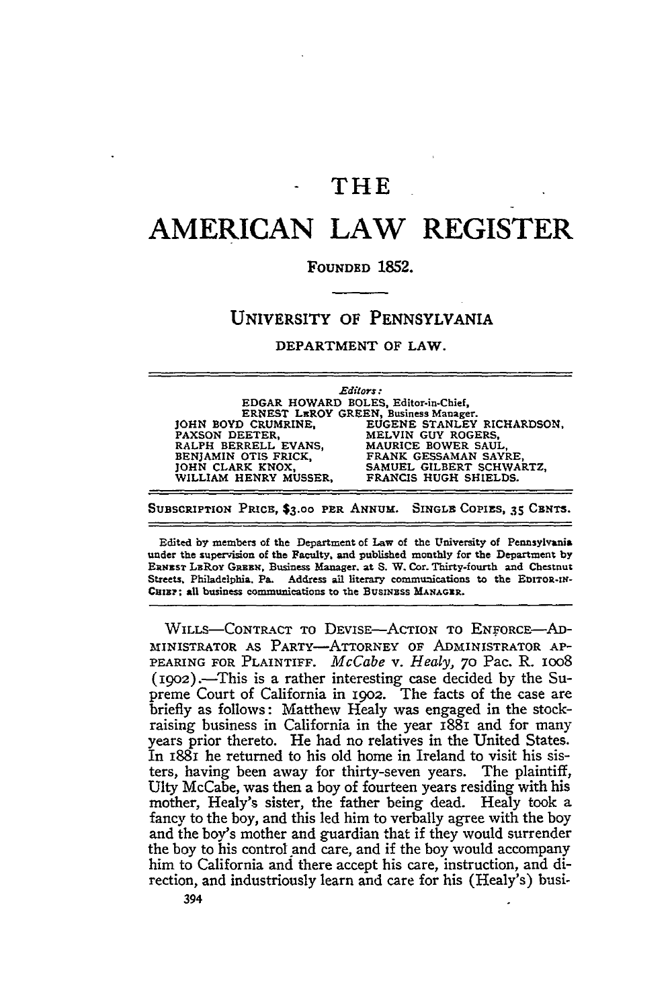## **-** THE

# **AMERICAN LAW REGISTER**

#### **FOUNDED 1852.**

### UNIVERSITY OF PENNSYLVANIA

#### DEPARTMENT OF LAW.

|  | Editors :<br>EDGAR HOWARD BOLES, Editor-in-Chief,<br>ERNEST LEROY GREEN, Business Manager. |                            |
|--|--------------------------------------------------------------------------------------------|----------------------------|
|  |                                                                                            |                            |
|  |                                                                                            |                            |
|  | JOHN BOYD CRUMRINE.                                                                        | EUGENE STANLEY RICHARDSON. |
|  | PAXSON DEETER.                                                                             | MELVIN GUY ROGERS,         |
|  | RALPH BERRELL EVANS,                                                                       | MAURICE BOWER SAUL.        |
|  | BENJAMIN OTIS FRICK.                                                                       | FRANK GESSAMAN SAYRE.      |
|  | JOHN CLARK KNOX,                                                                           | SAMUEL GILBERT SCHWARTZ,   |
|  | WILLIAM HENRY MUSSER,                                                                      | FRANCIS HUGH SHIELDS.      |
|  |                                                                                            | $\sim$ $\sim$              |

**SUBSCRIPTION** PRICE, **\$3.00** PER **ANNUM.** SINGLE **COPIES, 35 CENTS.**

Edited **by** members of the Department of Law of the University of Pennsylvania under the supervision of the Faculty, and published monthly for the Department **by ERNEST** LRRoY **GREEN,** Business Manager. at **S.** W. Cor. Thirty-fourth and Chestnut Streets, Philadelphia. Pa. Address ail literary communications to the EDITOR-IN-CHIEF; all business communications to the **BUSINESS MANAGER**.

WILLS-CONTRACT TO DEVISE-ACTION TO ENFORCE-AD-MINISTRATOR AS PARTY-ATTORNEY OF ADMINISTRATOR AP-PEARING FOR PLAINTIFF. *McCabe v. Healy,* **70** PaC. R. ioo8 (1902).-This is a rather interesting case decided by the Supreme Court of California in 1902. The facts of the case are briefly as follows: Matthew Healy was engaged in the stockraising business in California in the year 1881 and for many years prior thereto. He had no relatives in the United States. In I88i he returned to his old home in Ireland to visit his sisters, having been away for thirty-seven years. The plaintiff, Ulty McCabe, was then a boy of fourteen years residing with his mother, Healy's sister, the father being dead. Healy took a fancy to the boy, and this led him to verbally agree with the boy and the boy's mother and guardian that if they would surrender the boy to his control and care, and if the boy would accompany him to California and there accept his care, instruction, and direction, and industriously learn and care for his (Healy's) busi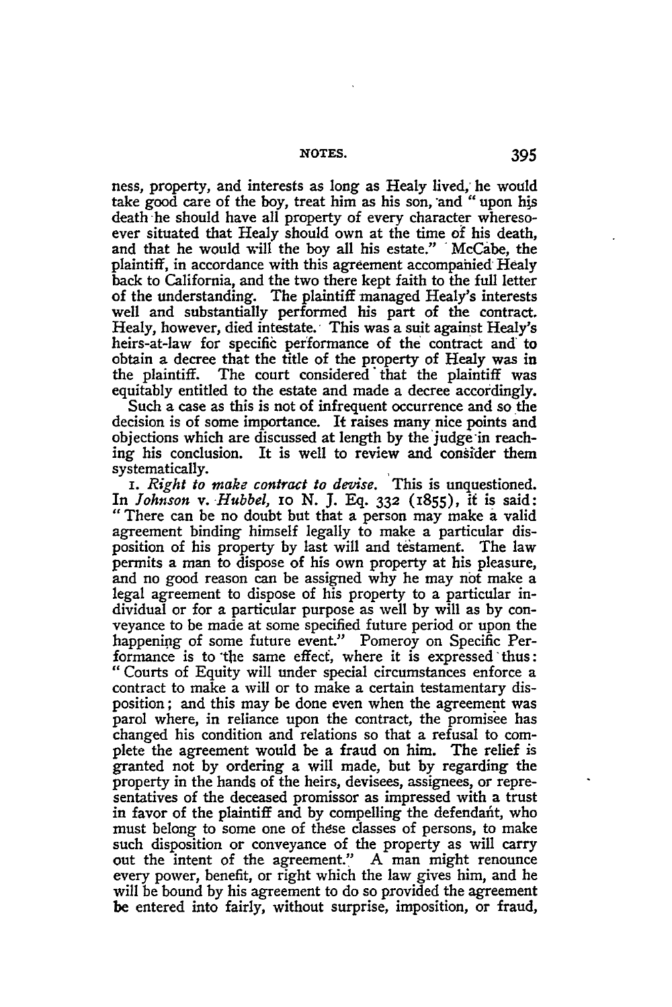ness, property, and interests as long as Healy lived, he would take good care of the boy, treat him as his son, and "upon his death he should have all property of every character wheresoever situated that Healy should own at the time of his death, and that he would will the boy all his estate." **'** McCabe, the plaintiff, in accordance with this agreement accompahied Healy back to California, and the two there kept faith to the full letter of the understanding. The plaintiff managed Healy's interests well and substantially performed his part of the contract. Healy, however, died intestate. This was a suit against Healy's heirs-at-law for specific performance of the contract and' to obtain a decree that the title of the property of Healy was in the plaintiff. The court considered that the plaintiff was equitably entitled to the estate and made a decree accordingly.

Such a case as this is not of infrequent occurrence and so the decision is of some importance. It raises many nice points and objections which are discussed at length by the'judge in reaching his conclusion. It is well to review and consider them systematically.

*i. Right to make contract to devise.* This is unquestioned. In *Johnson v. Hubbel,* io N. J. Eq. **332** (1855), it is said: "There can be no doubt but that a person may make a valid agreement binding himself legally to make a particular disposition of his property by last will and testament. The law permits a man to dispose of his own property at his pleasure, and no good reason can be assigned why he may not make a legal agreement to dispose of his property to a particular individual or for a particular purpose as well by will as by conveyance to be made at some specified future period or upon the happening of some future event." Pomeroy on Specific Performance is to the same effect, where it is expressed thus: "Courts of Equity will under special circumstances enforce a contract to make a will or to make a certain testamentary disposition; and this may be done even when the agreement was parol where, in reliance upon the contract, the promisee has changed his condition and relations so that a refusal to complete the agreement would be a fraud on him. The relief is granted not **by** ordering a will made, but **by** regarding the property in the hands of the heirs, devisees, assignees, or representatives of the deceased promissor as impressed with a trust in favor of the plaintiff and **by** compelling the defendafit, who must belong to some one of these classes of persons, to make such disposition or conveyance of the property as will carry out the intent of the agreement." **A** man might renounce every power, benefit, or right which the law gives him, and he will be bound **by** his agreement to do so provided the agreement be entered into fairly, without surprise, imposition, or fraud,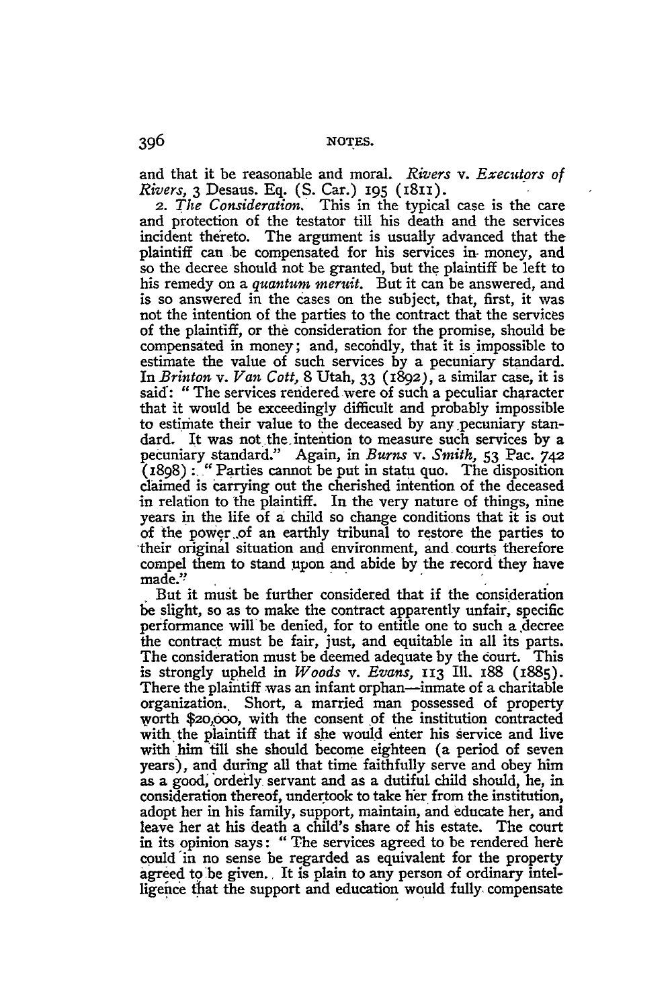and that it be reasonable and moral. *Rivers v. Executors of Rivers,* 3 Desaus. **Eq. (S.** Car.) 195 (I8II).

**2.** *The Consideration.* This in the typical case is the care and protection of the testator till his death and the services incident thereto. The argument is usually advanced that the plaintiff can be compensated for his services in- money, and so the decree should not be granted, but the plaintiff be left to his remedy on a *quantum meruit.* But it can be answered, and is so answered in the cases on the subject, that, first, it was not the intention of the parties to the contract that the services of the plaintiff, or the consideration for the promise, should be compensated in money; and, secohdly, that it is impossible to estimate the value of such services by a pecuniary standard. In *Brinton v. Van Cott,* 8 Utah, 33 **(i892),** a similar case, it is said: "The services rendered were of such a peculiar character that it would be exceedingly difficult and probably impossible to estimate their value to the deceased by any pecuniary standard. It was not the intention to measure such services by a pecuniary standard." Again, in *Burns v. Smith,* 53 Pac. 742 (1898) **:"** Parties cannot be put in statu quo. The disposition claimed is carrying out the cherished intention of the deceased in relation to the plaintiff. In the very nature of things, nine years in the life of a child so change conditions that it is out of the power *.of* an earthly tribunal to restore the parties to -their original situation and environment, and courts therefore compel them to stand upon and abide by the record they have made.'?

But it must be further considered that if the consideration be slight, so as to make the contract apparently unfair, specific performance will be denied, for to entitle one to such a decree the contract must be fair, just, and equitable in all its parts. The consideration must be deemed adequate by the court. This is strongly upheld in *Woods v. Evans,* **113** Ill. 188 (i885). There the plaintiff was an infant orphan—inmate of a charitable organization., Short, a married man possessed of property worth \$2o,oo, with the consent of the institution contracted with the plaintiff that if she would enter his service and live with him till she should become eighteen (a period of seven years), and during all that time faithfully serve and obey him as a good, orderly servant and as a dutiful child should, he, in consideration thereof, undertook to take her from the institution, adopt her in his family, support, maintain, and educate her, and leave her at his death a child's share of his estate. The court in its opinion says: "The services agreed to be rendered here could 'in no sense be regarded as equivalent for the property agreed to 'be given. It is plain to any person of ordinary intelligence that the support and education would fully, compensate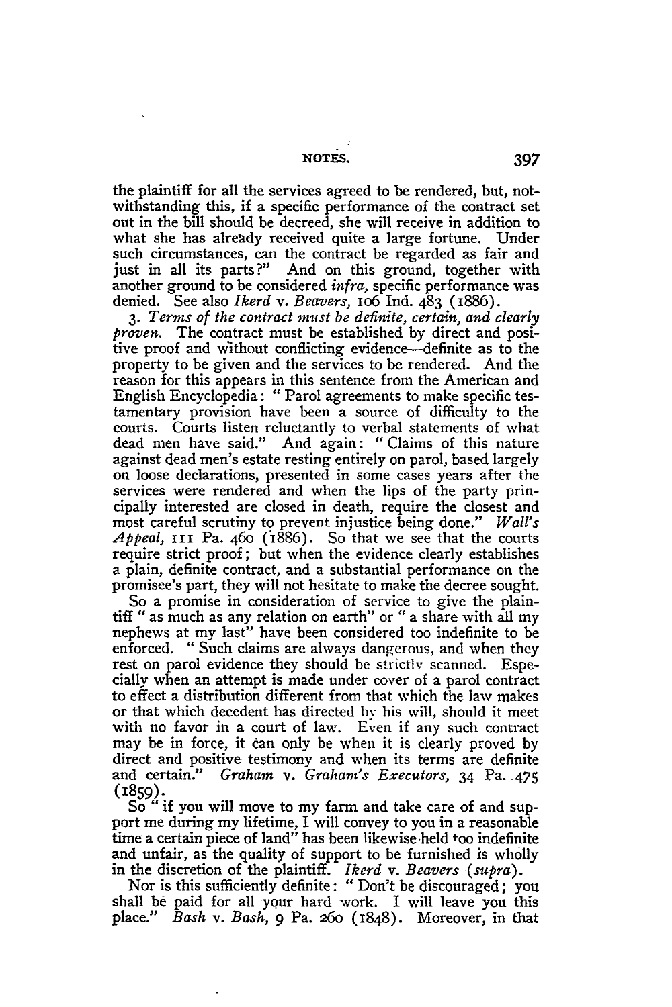the plaintiff for all the services agreed to be rendered, but, notwithstanding this, if a specific performance of the contract set out in the bill should be decreed, she will receive in addition to what she has already received quite a large fortune. Under such circumstances, can the contract be regarded as fair and just in all its parts?" And on this ground, together with another ground to be considered *infra,* specific performance was denied. See also *Ikerd v. Beavers,* io6 Ind. 483 (1886).

*3. Terms of the contract must be definite, certain, and clearly proven.* The contract must be established by direct and positive proof and without conflicting evidence—definite as to the property to be given and the services to be rendered. And the reason for this appears in this sentence from the American and English Encyclopedia: "Parol agreements to make specific testamentary provision have been a source of difficulty to the courts. Courts listen reluctantly to verbal statements of what dead men have said." And again: " Claims of this nature against dead men's estate resting entirely on parol, based largely on loose declarations, presented in some cases years after the services were rendered and when the lips of the party principally interested are closed in death, require the closest and most careful scrutiny to prevent injustice being done." *Wall's Appeal,* III Pa. 460 (1886). So that we see that the courts require strict proof; but when the evidence clearly establishes a plain, definite contract, and a substantial performance on the promisee's part, they will not hesitate to make the decree sought.

So a promise in consideration of service to give the plaintiff " as much as any relation on earth" or "a share with all my nephews at my last" have been considered too indefinite to be enforced. " Such claims are always dangerous, and when they rest on parol evidence they should be strictly scanned. Especially when an attempt is made under cover of a parol contract to effect a distribution different from that which the law makes or that which decedent has directed **by** his will, should it meet with no favor in a court of law. Even if any such contract may be in force, it can only be when it is clearly proved by direct and positive testimony and when its terms are definite and certain." *Graham v. Graham's Executors,* 34 Pa. 475 (1859).

So "if you will move to my farm and take care of and support me during my lifetime, I will convey to you in a reasonable time a certain piece of land" has been likewise'held too indefinite and unfair, as the quality of support to be furnished is wholly in the discretion of the plaintiff. *Ikerd v. Beavers (supra)*.

Nor is this sufficiently definite: "Don't be discouraged; you shall be paid for all your hard work. I will leave you this place." *Bash v. Bash,* 9 Pa. 260 (1848). Moreover, in that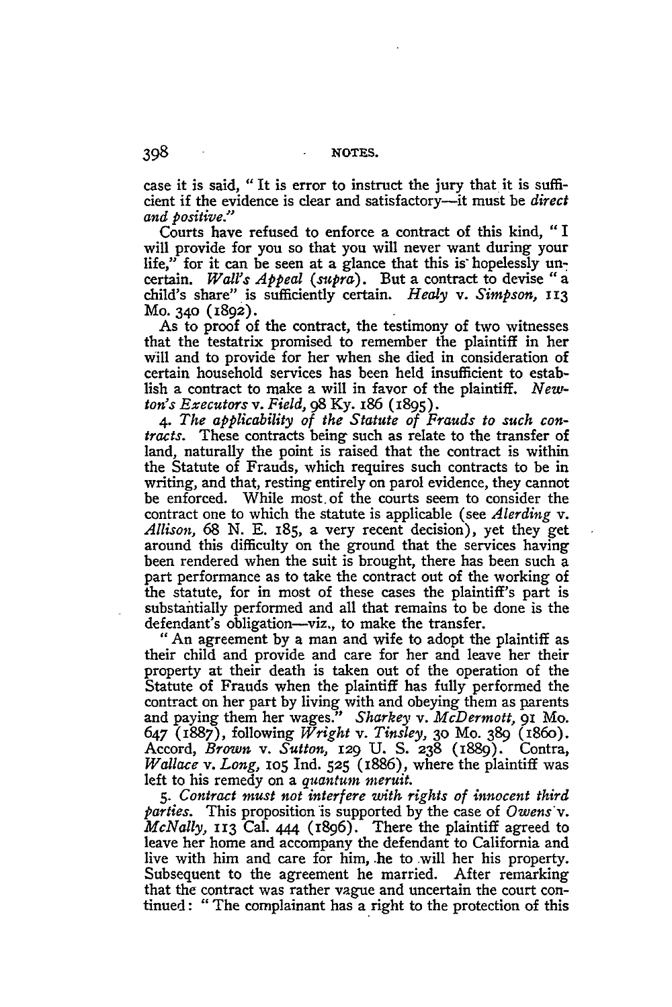case it is said, "It is error to instruct the jury that it is sufficient if the evidence is clear and satisfactory--it must be *direct and positive."*

Courts have refused to enforce a contract of this kind, "I will provide for you so that you will never want during your life," for it can be seen at a glance that this is hopelessly uncertain. *Wail's Appeal (supra).* But a contract to devise "a child's share" is sufficiently certain. *Healy v. Simpson, I 13* Mo. 340 (1892).

As to proof of the contract, the testimony of two witnesses that the testatrix promised to remember the plaintiff in her Will and to provide for her when she died in consideration of certain household services has been held insufficient to establish a contract to make a will in favor of the plaintiff. *Newton's Executors v. Field, 98* **Ky.** 186 (1895).

*4. The applicability of the Statute of Frauds to such contracts.* These contracts being such as relate to the transfer of land, naturally the point is raised that the contract is within the Statute of Frauds, which requires such contracts to be in writing, and that, resting entirely on parol evidence, they cannot be enforced. While most. of the courts seem to consider the contract one to which the statute is applicable (see *Alerding v. Allison,* 68 N. E. 185, a very recent decision), yet they get around this difficulty on the ground that the services having been rendered when the suit is brought, there has been such a part performance as to take the contract out of the working of the statute, for in most of these cases the plaintiff's part is substantially performed and all that remains to be done is the defendant's obligation-viz., to make the transfer.

"An agreement by a man and wife to adopt the plaintiff as their child and provide and care for her and leave her their property at their death is taken out of the operation of the Statute of Frauds when the plaintiff has fully performed the contract on her part **by** living with and obeying them as parents and paying them her wages." *Sharkey v. McDermott,* 91 Mo. 647 (1887), following *Wright v. Tinsley,* **30** Mo. **389** (i86o). Accord, *Brown v. Sutton,* **129 U. S. 238** (1889). Contra, *Wallace v. Long,* **105** Ind. **525** (1886), where the plaintiff was left to his remedy on a *quantum meruit.*

**5.** *Contract must not interfere with rights of innocent third parties.* This proposition is supported **by** the case of *Owens'v. McNally,* 113 Cal. **444** (1896). There the plaintiff agreed to leave her home and accompany the defendant to California and live with him and care for him, he to will her his property. Subsequent to the agreement he married. After remarking that the contract was rather vague and uncertain the court continued: "The complainant has a right to the protection of this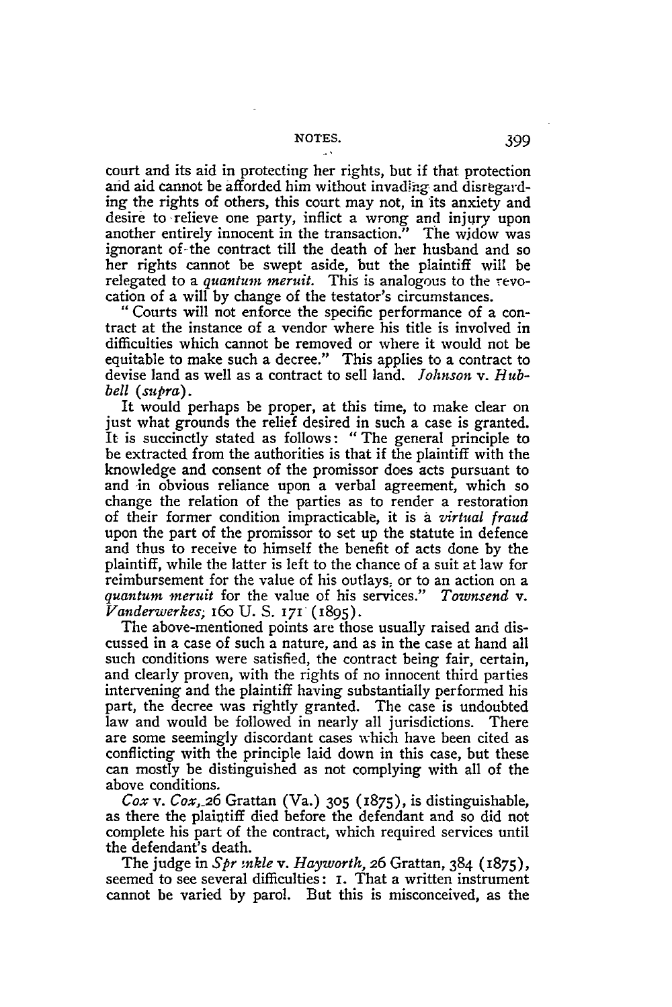court and its aid in protecting her rights, but if that protection and aid cannot be afforded him without invadihg and disregarding the rights of others, this court may not, in 'its anxiety and desire to relieve one party, inflict a wrong and injury upon another entirely innocent in the transaction." The widow was ignorant of-the contract till the death of her husband and so her rights cannot be swept aside, but the plaintiff will be relegated to a *quantum meruit.* This is analogous to the revocation of a will by change of the testator's circumstances.

**"** Courts will not enforce the specific performance of a contract at the instance of a vendor where his title is involved in difficulties which cannot be removed or where it would not be equitable to make such a decree." This applies to a contract to devise land as well as a contract to sell land. *Johnson v. Hubbell (supra).*

It would perhaps be proper, at this time, to make clear on just what grounds the relief desired in such a case is granted. It is succinctly stated as follows: "The general principle to be extracted from the authorities is that if the plaintiff with the knowledge and consent of the promissor does acts pursuant to and in obvious reliance upon a verbal agreement, which so change the relation of the parties as to render a restoration of their former condition impracticable, it is a *virtual fraud* upon the part of the promissor to set up the statute in defence and thus to receive to himself the benefit of acts done **by** the plaintiff, while the latter is left to the chance of a suit at law for reimbursement for the value of his outlays, or to an action on a *quantum ineruit* for the value of his services." *Townsend v. Vanderwerkes;* 16o U. S. 171 (1895).

The above-mentioned points are those usually raised and discussed in a case of such a nature, and as in the case at hand all such conditions were satisfied, the contract being fair, certain, and clearly proven, with the rights of no innocent third parties intervening and the plaintiff having substantially performed his part, the decree was rightly granted. The case is undoubted law and would be followed in nearly all jurisdictions. There are some seemingly discordant cases which have been cited as conflicting with the principle laid down in this case, but these can mostly be distinguished as not complying with all of the above conditions.

*Cox v. Cox,\_26* Grattan (Va.) **305** (1875), is distinguishable, as there the plaintiff died before the defendant and so did not complete his part of the contract, which required services until the defendant's death.

The judge in *Spr mkle v. Hayworth*, 26 Grattan, 384 (1875), seemed to see several difficulties: I. That a written instrument cannot be varied by parol. But this is misconceived, as the